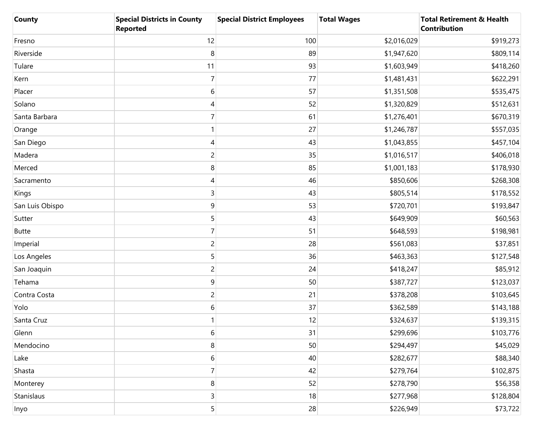| <b>County</b>   | <b>Special Districts in County</b><br><b>Reported</b> | <b>Special District Employees</b> | <b>Total Wages</b> | <b>Total Retirement &amp; Health</b><br><b>Contribution</b> |
|-----------------|-------------------------------------------------------|-----------------------------------|--------------------|-------------------------------------------------------------|
| Fresno          | 12                                                    | 100                               | \$2,016,029        | \$919,273                                                   |
| Riverside       | 8                                                     | 89                                | \$1,947,620        | \$809,114                                                   |
| Tulare          | 11                                                    | 93                                | \$1,603,949        | \$418,260                                                   |
| Kern            | $\overline{7}$                                        | 77                                | \$1,481,431        | \$622,291                                                   |
| Placer          | 6                                                     | 57                                | \$1,351,508        | \$535,475                                                   |
| Solano          | 4                                                     | 52                                | \$1,320,829        | \$512,631                                                   |
| Santa Barbara   | 7                                                     | 61                                | \$1,276,401        | \$670,319                                                   |
| Orange          |                                                       | 27                                | \$1,246,787        | \$557,035                                                   |
| San Diego       | 4                                                     | 43                                | \$1,043,855        | \$457,104                                                   |
| Madera          | $\overline{c}$                                        | 35                                | \$1,016,517        | \$406,018                                                   |
| Merced          | 8                                                     | 85                                | \$1,001,183        | \$178,930                                                   |
| Sacramento      | 4                                                     | 46                                | \$850,606          | \$268,308                                                   |
| Kings           | 3                                                     | 43                                | \$805,514          | \$178,552                                                   |
| San Luis Obispo | $\boldsymbol{9}$                                      | 53                                | \$720,701          | \$193,847                                                   |
| Sutter          | 5                                                     | 43                                | \$649,909          | \$60,563                                                    |
| <b>Butte</b>    | 7                                                     | 51                                | \$648,593          | \$198,981                                                   |
| Imperial        | $\overline{c}$                                        | 28                                | \$561,083          | \$37,851                                                    |
| Los Angeles     | 5                                                     | 36                                | \$463,363          | \$127,548                                                   |
| San Joaquin     | $\overline{c}$                                        | 24                                | \$418,247          | \$85,912                                                    |
| Tehama          | $\boldsymbol{9}$                                      | 50                                | \$387,727          | \$123,037                                                   |
| Contra Costa    | $\overline{c}$                                        | 21                                | \$378,208          | \$103,645                                                   |
| Yolo            | 6                                                     | 37                                | \$362,589          | \$143,188                                                   |
| Santa Cruz      |                                                       | 12                                | \$324,637          | \$139,315                                                   |
| Glenn           | 6                                                     | 31                                | \$299,696          | \$103,776                                                   |
| Mendocino       | 8                                                     | 50                                | \$294,497          | \$45,029                                                    |
| Lake            | $\boldsymbol{6}$                                      | 40                                | \$282,677          | \$88,340                                                    |
| Shasta          | $\overline{7}$                                        | 42                                | \$279,764          | \$102,875                                                   |
| Monterey        | 8                                                     | 52                                | \$278,790          | \$56,358                                                    |
| Stanislaus      | 3                                                     | 18                                | \$277,968          | \$128,804                                                   |
| Inyo            | 5                                                     | 28                                | \$226,949          | \$73,722                                                    |